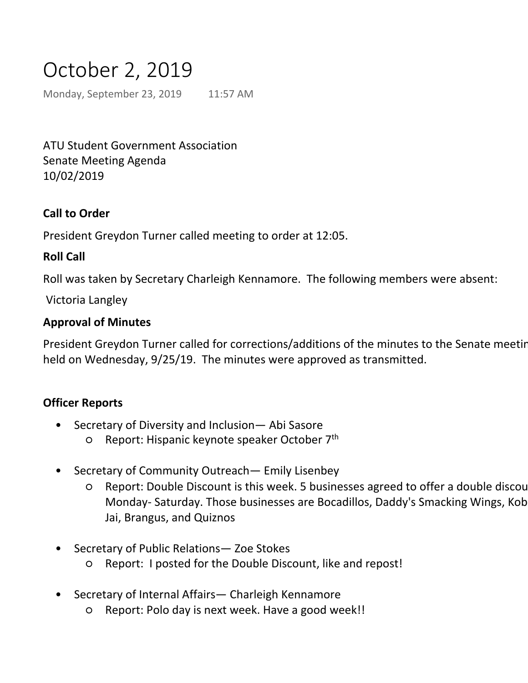# October 2, 2019

Monday, September 23, 2019 11:57 AM

ATU Student Government Association Senate Meeting Agenda 10/02/2019

## **Call to Order**

President Greydon Turner called meeting to order at 12:05.

## **Roll Call**

Roll was taken by Secretary Charleigh Kennamore. The following members were absent:

Victoria Langley

## **Approval of Minutes**

President Greydon Turner called for corrections/additions of the minutes to the Senate meeting held on Wednesday, 9/25/19. The minutes were approved as transmitted.

## **Officer Reports**

- Secretary of Diversity and Inclusion— Abi Sasore •
	- O Report: Hispanic keynote speaker October 7<sup>th</sup>
- Secretary of Community Outreach— Emily Lisenbey •
	- Report: Double Discount is this week. 5 businesses agreed to offer a double discou Monday- Saturday. Those businesses are Bocadillos, Daddy's Smacking Wings, Kob Jai, Brangus, and Quiznos ○
- Secretary of Public Relations— Zoe Stokes •
	- Report: I posted for the Double Discount, like and repost!
- Secretary of Internal Affairs— Charleigh Kennamore •
	- Report: Polo day is next week. Have a good week!!
- Secretary of Student Development— Jacob Loomis •
	- Report: Happy homecoming week everyone! ○
		- We are having a voter registration drive from the  $15<sup>th</sup> 19<sup>th</sup>$
		- $\equiv$  Tuesday through Friday we will be tabling in Bazilian we will be tabling in Bazilian we will be tabling in Bazilian we will be tabling in Bazilian we will be tabling in Bazilian we will be tabling in Bazilian we will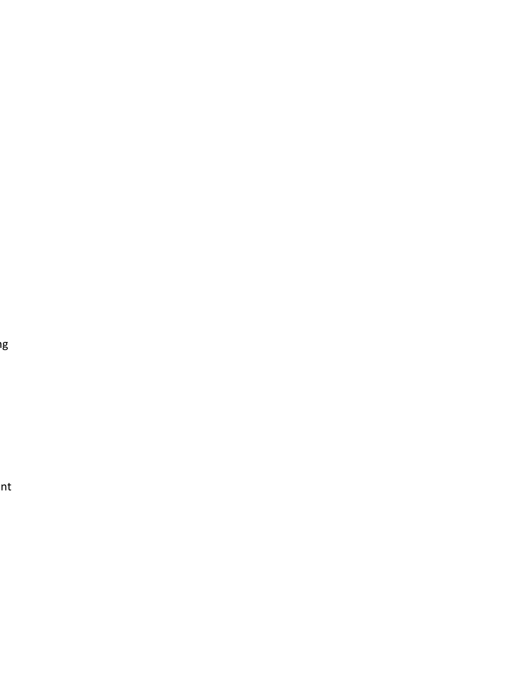er<br>I

 $nt$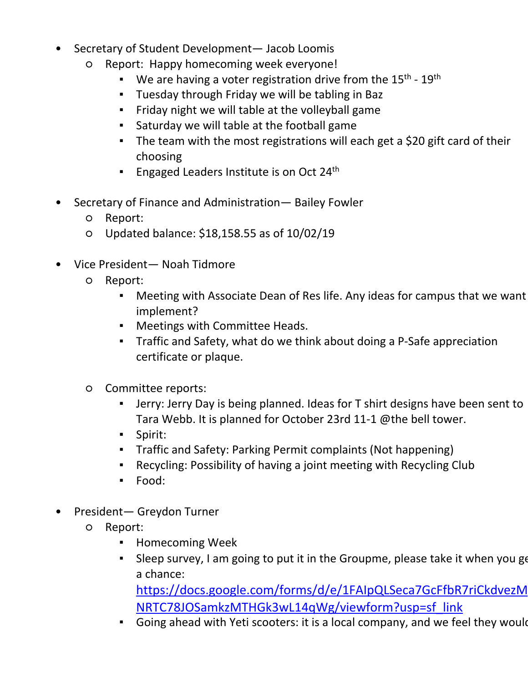- Secretary of Internal Affairs— Charleigh Kennamore •
	- Report: Polo day is next week. Have a good week!!
- Secretary of Student Development— Jacob Loomis •
	- Report: Happy homecoming week everyone!  $\Omega$ 
		- We are having a voter registration drive from the  $15<sup>th</sup>$   $19<sup>th</sup>$
		- Tuesday through Friday we will be tabling in Baz
		- Friday night we will table at the volleyball game
		- Saturday we will table at the football game
		- **The team with the most registrations will each get a \$20 gift card of their** choosing
		- **Engaged Leaders Institute is on Oct 24th**
- Secretary of Finance and Administration— Bailey Fowler •
	- Report:
	- Updated balance: \$18,158.55 as of 10/02/19
- Vice President— Noah Tidmore •
	- Report:  $\circ$ 
		- Meeting with Associate Dean of Res life. Any ideas for campus that we want implement? ▪
		- Meetings with Committee Heads.
		- **Traffic and Safety, what do we think about doing a P-Safe appreciation** certificate or plaque.
	- Committee reports: ○
		- Jerry: Jerry Day is being planned. Ideas for T shirt designs have been sent to Tara Webb. It is planned for October 23rd 11-1 @the bell tower. ▪
		- Spirit:
		- Traffic and Safety: Parking Permit complaints (Not happening)
		- Recycling: Possibility of having a joint meeting with Recycling Club
		- Food:
- President— Greydon Turner •
	- Report: ○
		- Homecoming Week
		- Sleep survey, I am going to put it in the Groupme, please take it when you got a chance: ▪

https://docs.google.com/forms/d/e/1FAIpQLSeca7GcFfbR7riCkdvezM NRTC78JOSamkzMTHGk3wL14qWg/viewform?usp=sf\_link

- **•** Going ahead with Yeti scooters: it is a local company, and we feel they would
- Bought the student section signs for Tucker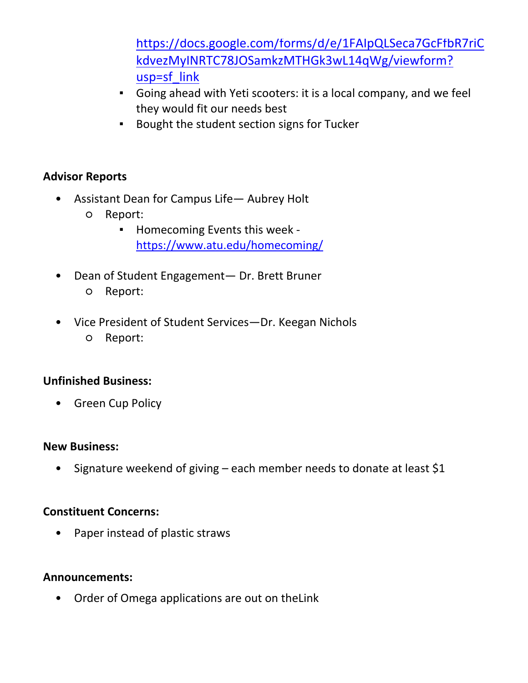- Homecoming Week
	- https://docs.google.com/forms/d/e/1FAIpQLSeca7GcFfbR7riC kdvezMyINRTC78JOSamkzMTHGk3wL14qWg/viewform? usp=sf\_link
	- Going ahead with Yeti scooters: it is a local company, and we feel they would fit our needs best
	- Bought the student section signs for Tucker

## **Advisor Reports**

- Assistant Dean for Campus Life— Aubrey Holt •
	- Report:  $\overline{O}$

▪

- Homecoming Events this week https://www.atu.edu/homecoming/ ▪
- Dean of Student Engagement— Dr. Brett Bruner ○ Report: •
- Vice President of Student Services—Dr. Keegan Nichols ○ Report: •

## **Unfinished Business:**

• Green Cup Policy

## **New Business:**

• Signature weekend of giving – each member needs to donate at least \$1

## **Constituent Concerns:**

• Paper instead of plastic straws

## **Announcements:**

• Order of Omega applications are out on theLink

## **Motion to Adjourn:**

#### **Date Approved:**